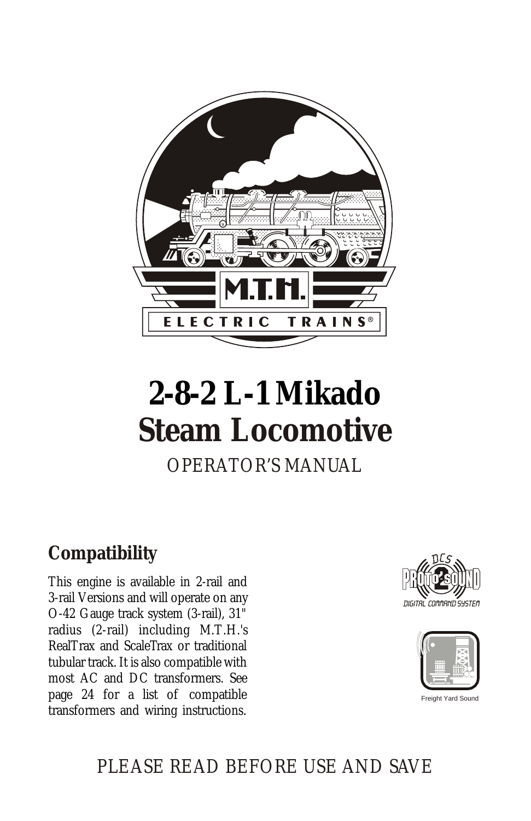

# **2-8-2 L-1 Mikado Steam Locomotive**

## OPERATOR'S MANUAL

## **Compatibility**

This engine is available in 2-rail and 3-rail Versions and will operate on any O-42 Gauge track system (3-rail), 31" radius (2-rail) including M.T.H.'s RealTrax and ScaleTrax or traditional tubular track. It is also compatible with most AC and DC transformers. See page 24 for a list of compatible transformers and wiring instructions.





Freight Yard Sound

## PLEASE READ BEFORE USE AND SAVE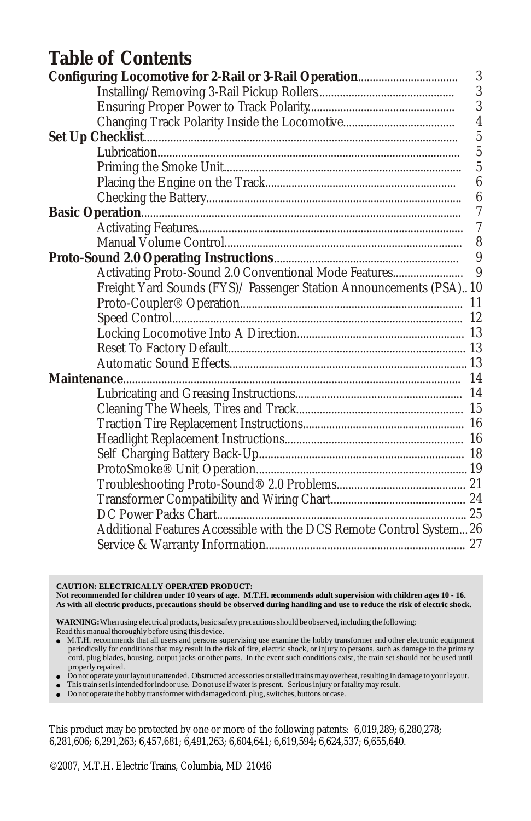### **Table of Contents**

|                                                                      | $\boldsymbol{3}$ |
|----------------------------------------------------------------------|------------------|
|                                                                      | 3                |
|                                                                      | 3                |
|                                                                      | $\overline{4}$   |
|                                                                      | $\overline{5}$   |
|                                                                      | $\overline{5}$   |
|                                                                      | $\overline{5}$   |
|                                                                      | $\boldsymbol{6}$ |
|                                                                      | $\boldsymbol{6}$ |
|                                                                      | 7                |
|                                                                      | $\overline{7}$   |
|                                                                      | 8                |
|                                                                      |                  |
|                                                                      |                  |
| Freight Yard Sounds (FYS)/ Passenger Station Announcements (PSA) 10  |                  |
|                                                                      |                  |
|                                                                      |                  |
|                                                                      |                  |
|                                                                      |                  |
|                                                                      |                  |
|                                                                      |                  |
|                                                                      |                  |
|                                                                      |                  |
|                                                                      |                  |
|                                                                      |                  |
|                                                                      |                  |
|                                                                      |                  |
|                                                                      |                  |
|                                                                      |                  |
|                                                                      |                  |
| Additional Features Accessible with the DCS Remote Control System 26 |                  |
|                                                                      |                  |
|                                                                      |                  |

**CAUTION: ELECTRICALLY OPERATED PRODUCT:**

Not recommended for children under 10 years of age. M.T.H. recommends adult supervision with children ages 10 - 16.<br>As with all electric products, precautions should be observed during handling and use to reduce the risk

**WARNING:** When using electrical products, basic safety precautions should be observed, including the following: Read this manual thoroughly before using this device.

<sup>l</sup> M.T.H. recommends that all users and persons supervising use examine the hobby transformer and other electronic equipment periodically for conditions that may result in the risk of fire, electric shock, or injury to persons, such as damage to the primary cord, plug blades, housing, output jacks or other parts. In the event such conditions exist, the train set should not be used until properly repaired.

<sup>l</sup> Do not operate your layout unattended. Obstructed accessories or stalled trains may overheat, resulting in damage to your layout.

- <sup>l</sup> This train set is intended for indoor use. Do not use if water is present. Serious injury or fatality may result.
- <sup>l</sup> Do not operate the hobby transformer with damaged cord, plug, switches, buttons or case.

This product may be protected by one or more of the following patents: 6,019,289; 6,280,278; 6,281,606; 6,291,263; 6,457,681; 6,491,263; 6,604,641; 6,619,594; 6,624,537; 6,655,640.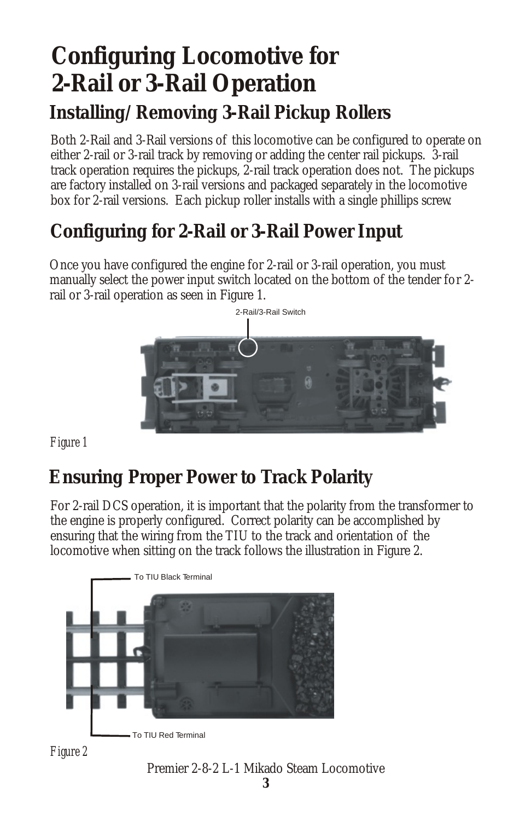## **Configuring Locomotive for 2-Rail or 3-Rail Operation Installing/Removing 3-Rail Pickup Rollers**

Both 2-Rail and 3-Rail versions of this locomotive can be configured to operate on either 2-rail or 3-rail track by removing or adding the center rail pickups. 3-rail track operation requires the pickups, 2-rail track operation does not. The pickups are factory installed on 3-rail versions and packaged separately in the locomotive box for 2-rail versions. Each pickup roller installs with a single phillips screw.

## **Configuring for 2-Rail or 3-Rail Power Input**

Once you have configured the engine for 2-rail or 3-rail operation, you must manually select the power input switch located on the bottom of the tender for 2 rail or 3-rail operation as seen in Figure 1.



*Figure 1*

## **Ensuring Proper Power to Track Polarity**

For 2-rail DCS operation, it is important that the polarity from the transformer to the engine is properly configured. Correct polarity can be accomplished by ensuring that the wiring from the TIU to the track and orientation of the locomotive when sitting on the track follows the illustration in Figure 2.



#### Premier 2-8-2 L-1 Mikado Steam Locomotive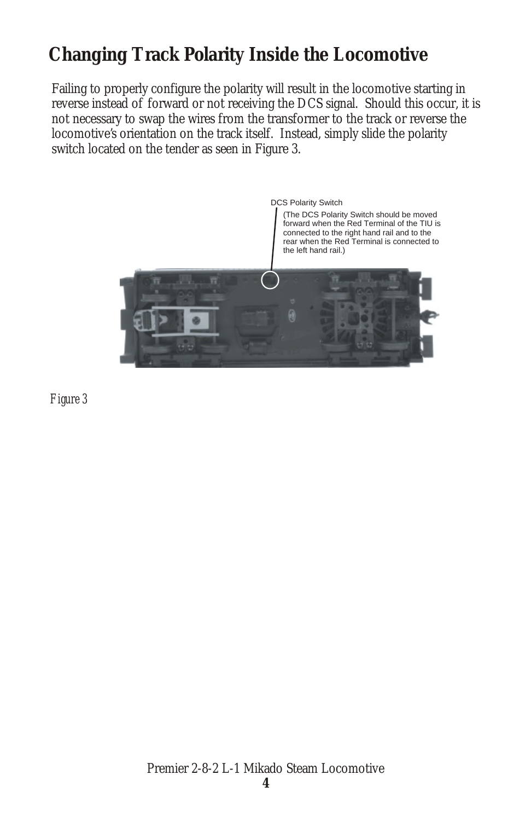## **Changing Track Polarity Inside the Locomotive**

Failing to properly configure the polarity will result in the locomotive starting in reverse instead of forward or not receiving the DCS signal. Should this occur, it is not necessary to swap the wires from the transformer to the track or reverse the locomotive's orientation on the track itself. Instead, simply slide the polarity switch located on the tender as seen in Figure 3.



*Figure 3*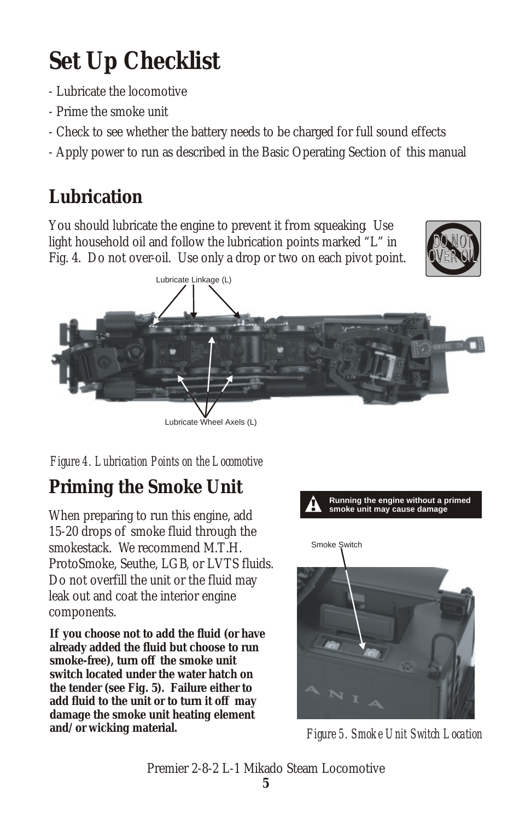## **Set Up Checklist**

- Lubricate the locomotive
- Prime the smoke unit
- Check to see whether the battery needs to be charged for full sound effects
- Apply power to run as described in the Basic Operating Section of this manual

## **Lubrication**

You should lubricate the engine to prevent it from squeaking. Use light household oil and follow the lubrication points marked "L" in Fig. 4. Do not over-oil. Use only a drop or two on each pivot point.





#### *Figure 4. Lubrication Points on the Locomotive*

## **Priming the Smoke Unit**

When preparing to run this engine, add 15-20 drops of smoke fluid through the smokestack. We recommend M.T.H. ProtoSmoke, Seuthe, LGB, or LVTS fluids. Do not overfill the unit or the fluid may leak out and coat the interior engine components.

**If you choose not to add the fluid (or have already added the fluid but choose to run smoke-free), turn off the smoke unit switch located under the water hatch on the tender (see Fig. 5). Failure either to add fluid to the unit or to turn it off may damage the smoke unit heating element and/or wicking material.**



*Figure 5. Smoke Unit Switch Location*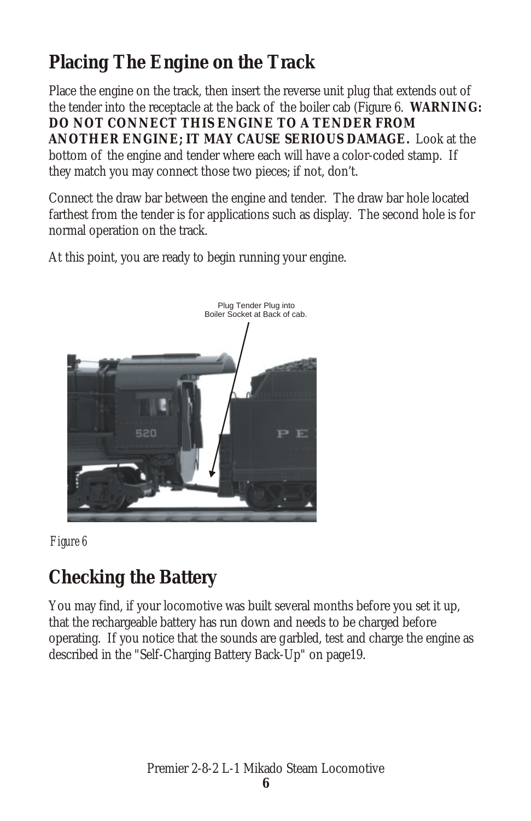## **Placing The Engine on the Track**

Place the engine on the track, then insert the reverse unit plug that extends out of the tender into the receptacle at the back of the boiler cab (Figure 6. **WARNING: DO NOT CONNECT THIS ENGINE TO A TENDER FROM ANOTHER ENGINE; IT MAY CAUSE SERIOUS DAMAGE.** Look at the bottom of the engine and tender where each will have a color-coded stamp. If they match you may connect those two pieces; if not, don't.

Connect the draw bar between the engine and tender. The draw bar hole located farthest from the tender is for applications such as display. The second hole is for normal operation on the track.

At this point, you are ready to begin running your engine.





## **Checking the Battery**

You may find, if your locomotive was built several months before you set it up, that the rechargeable battery has run down and needs to be charged before operating. If you notice that the sounds are g arbled, test and charge the engine as described in the "Self-Charging Battery Back-Up" on page19.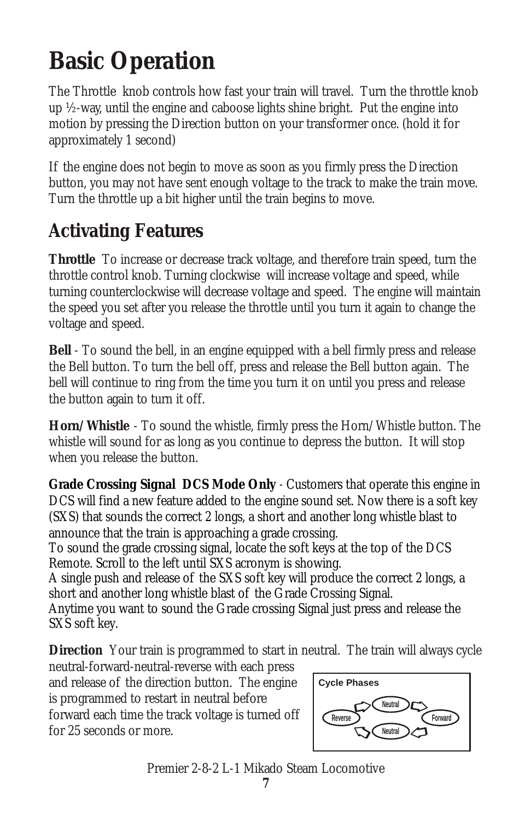## **Basic Operation**

The Throttle knob controls how fast your train will travel. Turn the throttle knob up ½-way, until the engine and caboose lights shine bright. Put the engine into motion by pressing the Direction button on your transformer once. (hold it for approximately 1 second)

If the engine does not begin to move as soon as you firmly press the Direction button, you may not have sent enough voltage to the track to make the train move. Turn the throttle up a bit higher until the train begins to move.

## **Activating Features**

**Throttle** To increase or decrease track voltage, and therefore train speed, turn the throttle control knob. Turning clockwise will increase voltage and speed, while turning counterclockwise will decrease voltage and speed. The engine will maintain the speed you set after you release the throttle until you turn it again to change the voltage and speed.

**Bell** - To sound the bell, in an engine equipped with a bell firmly press and release the Bell button. To turn the bell off, press and release the Bell button again. The bell will continue to ring from the time you turn it on until you press and release the button again to turn it off.

**Horn/Whistle** - To sound the whistle, firmly press the Horn/Whistle button. The whistle will sound for as long as you continue to depress the button. It will stop when you release the button.

**Grade Crossing Signal** *DCS Mode Only -* Customers that operate this engine in DCS will find a new feature added to the engine sound set. Now there is a soft key (SXS) that sounds the correct 2 longs, a short and another long whistle blast to announce that the train is approaching a grade crossing.

To sound the grade crossing signal, locate the soft keys at the top of the DCS Remote. Scroll to the left until SXS acronym is showing.

A single push and release of the SXS soft key will produce the correct 2 longs, a short and another long whistle blast of the Grade Crossing Signal.

Anytime you want to sound the Grade crossing Signal just press and release the SXS soft key.

**Direction** Your train is programmed to start in neutral. The train will always cycle

neutral-forward-neutral-reverse with each press and release of the direction button. The engine is programmed to restart in neutral before forward each time the track voltage is turned off for 25 seconds or more.



Premier 2-8-2 L-1 Mikado Steam Locomotive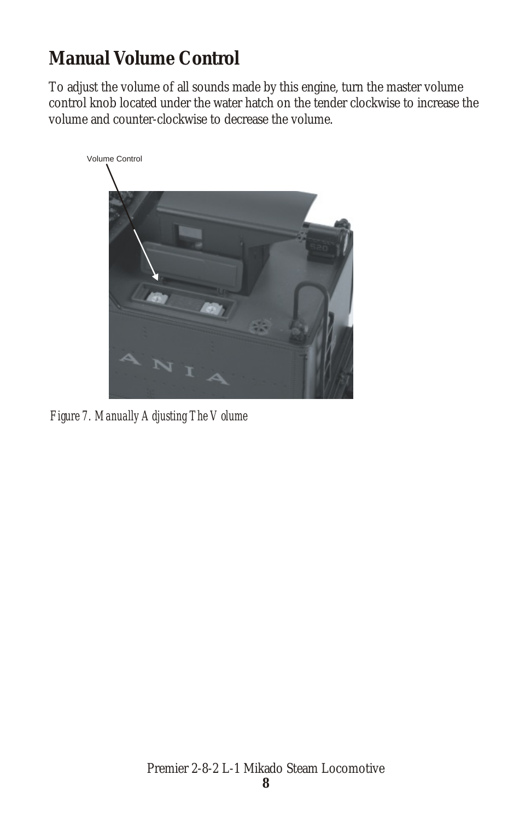## **Manual Volume Control**

To adjust the volume of all sounds made by this engine, turn the master volume control knob located under the water hatch on the tender clockwise to increase the volume and counter-clockwise to decrease the volume.



*Figure 7. Manually Adjusting The Volume*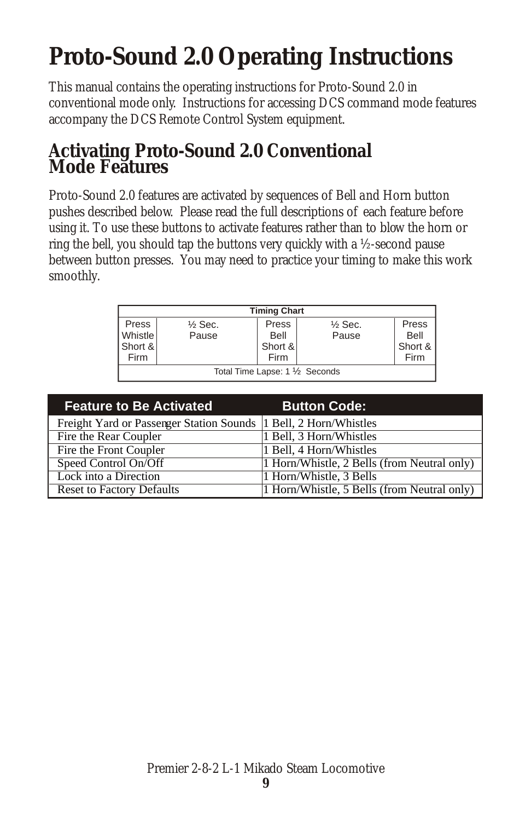## **Proto-Sound 2.0 Operating Instructions**

This manual contains the operating instructions for Proto-Sound 2.0 in conventional mode only. Instructions for accessing DCS command mode features accompany the DCS Remote Control System equipment.

#### **Activating Proto-Sound 2.0 Conventional Mode Features**

Proto-Sound 2.0 features are activated by sequences of Bell and Horn button pushes described below. Please read the full descriptions of each feature before using it. To use these buttons to activate features rather than to blow the horn or ring the bell, you should tap the buttons very quickly with a ½-second pause between button presses. You may need to practice your timing to make this work smoothly.

| <b>Timing Chart</b> |                                 |         |                    |         |
|---------------------|---------------------------------|---------|--------------------|---------|
| Press               | $\frac{1}{2}$ Sec.              | Press   | $\frac{1}{2}$ Sec. | Press   |
| <b>Whistle</b>      | Pause                           | Bell    | Pause              | Bell    |
| Short &             |                                 | Short & |                    | Short & |
| Firm                |                                 | Firm    |                    | Firm    |
|                     | Total Time Lapse: 1 1/2 Seconds |         |                    |         |

| <b>Feature to Be Activated</b>                                    | <b>Button Code:</b>                         |
|-------------------------------------------------------------------|---------------------------------------------|
| Freight Yard or Passenger Station Sounds  1 Bell, 2 Horn/Whistles |                                             |
| Fire the Rear Coupler                                             | 1 Bell, 3 Horn/Whistles                     |
| Fire the Front Coupler                                            | 1 Bell, 4 Horn/Whistles                     |
| Speed Control On/Off                                              | 1 Horn/Whistle, 2 Bells (from Neutral only) |
| Lock into a Direction                                             | 1 Horn/Whistle, 3 Bells                     |
| <b>Reset to Factory Defaults</b>                                  | 1 Horn/Whistle, 5 Bells (from Neutral only) |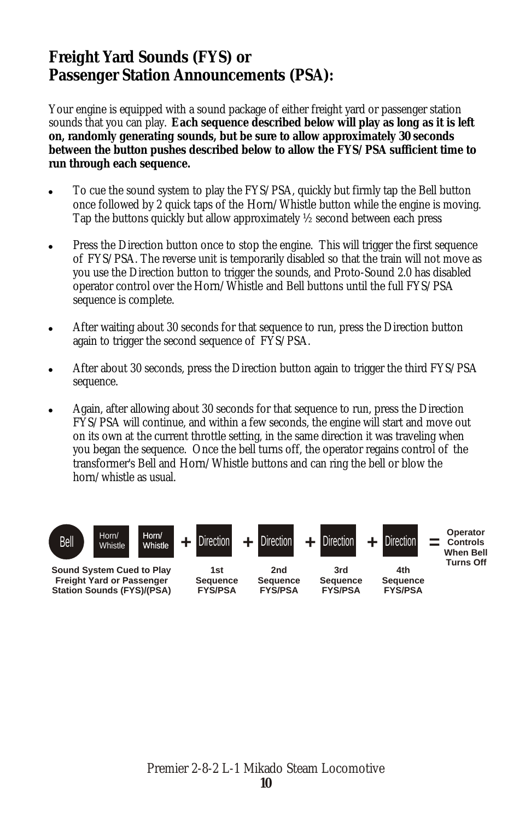#### **Freight Yard Sounds (FYS) or Passenger Station Announcements (PSA):**

Your engine is equipped with a sound package of either freight yard or passenger station sounds that you can play. **Each sequence described below will play as long as it is left on, randomly generating sounds, but be sure to allow approximately 30 seconds between the button pushes described below to allow the FYS/PSA sufficient time to run through each sequence.**

- ! To cue the sound system to play the FYS/PSA, quickly but firmly tap the Bell button once followed by 2 quick taps of the Horn/Whistle button while the engine is moving. Tap the buttons quickly but allow approximately ½ second between each press.
- Press the Direction button once to stop the engine. This will trigger the first sequence of FYS/PSA. The reverse unit is temporarily disabled so that the train will not move as you use the Direction button to trigger the sounds, and Proto-Sound 2.0 has disabled operator control over the Horn/Whistle and Bell buttons until the full FYS/PSA sequence is complete.
- After waiting about 30 seconds for that sequence to run, press the Direction button again to trigger the second sequence of FYS/PSA.
- ! After about 30 seconds, press the Direction button again to trigger the third FYS/PSA sequence.
- ! Again, after allowing about 30 seconds for that sequence to run, press the Direction FYS/PSA will continue, and within a few seconds, the engine will start and move out on its own at the current throttle setting, in the same direction it was traveling when you began the sequence. Once the bell turns off, the operator regains control of the transformer's Bell and Horn/Whistle buttons and can ring the bell or blow the horn/whistle as usual.

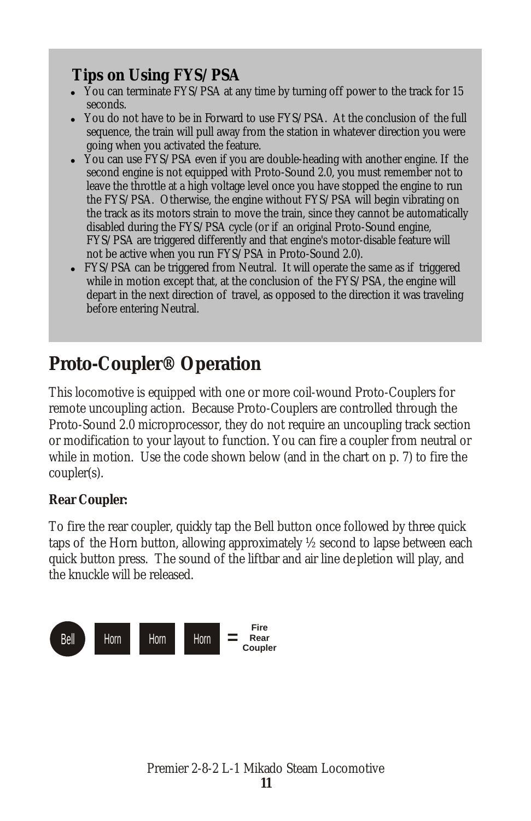#### **Tips on Using FYS/PSA**

- You can terminate FYS/PSA at any time by turning off power to the track for 15 seconds.
- ! You do not have to be in Forward to use FYS/PSA. At the conclusion of the full sequence, the train will pull away from the station in whatever direction you were
- going when you activated the feature. ! You can use FYS/PSA even if you are double-heading with another engine. If the second engine is not equipped with Proto-Sound 2.0, you must remember not to leave the throttle at a high voltage level once you have stopped the engine to run the FYS/PSA. Otherwise, the engine without FYS/PSA will begin vibrating on the track as its motors strain to move the train, since they cannot be automatically disabled during the FYS/PSA cycle (or if an original Proto-Sound engine, FYS/PSA are triggered differently and that engine's motor-disable feature will not be active when you run FYS/PSA in Proto-Sound 2.0).
- FYS/PSA can be triggered from Neutral. It will operate the same as if triggered while in motion except that, at the conclusion of the FYS/PSA, the engine will depart in the next direction of travel, as opposed to the direction it was traveling before entering Neutral.

## **Proto-Coupler® Operation**

This locomotive is equipped with one or more coil-wound Proto-Couplers for remote uncoupling action. Because Proto-Couplers are controlled through the Proto-Sound 2.0 microprocessor, they do not require an uncoupling track section or modification to your layout to function. You can fire a coupler from neutral or while in motion. Use the code shown below (and in the chart on p. 7) to fire the coupler(s).

**Rear Coupler:**

To fire the rear coupler, quickly tap the Bell button once followed by three quick taps of the Horn button, allowing approximately ½ second to lapse between each quick button press. The sound of the liftbar and air line de pletion will play, and the knuckle will be released.

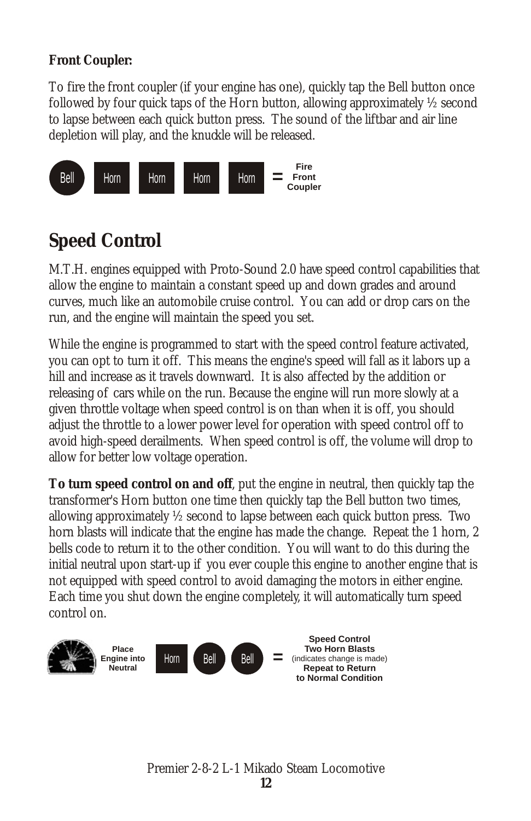**Front Coupler:**

To fire the front coupler (if your engine has one), quickly tap the Bell button once followed by four quick taps of the Horn button, allowing approximately ½ second to lapse between each quick button press. The sound of the liftbar and air line depletion will play, and the knuckle will be released.



## **Speed Control**

M.T.H. engines equipped with Proto-Sound 2.0 have speed control capabilities that allow the engine to maintain a constant speed up and down grades and around curves, much like an automobile cruise control. You can add or drop cars on the run, and the engine will maintain the speed you set.

While the engine is programmed to start with the speed control feature activated, you can opt to turn it off. This means the engine's speed will fall as it labors up a hill and increase as it travels downward. It is also affected by the addition or releasing of cars while on the run. Because the engine will run more slowly at a given throttle voltage when speed control is on than when it is off, you should adjust the throttle to a lower power level for operation with speed control off to avoid high-speed derailments. When speed control is off, the volume will drop to allow for better low voltage operation.

**To turn speed control on and off**, put the engine in neutral, then quickly tap the transformer's Horn button one time then quickly tap the Bell button two times, allowing approximately ½ second to lapse between each quick button press. Two horn blasts will indicate that the engine has made the change. Repeat the 1 horn, 2 bells code to return it to the other condition. You will want to do this during the initial neutral upon start-up if you ever couple this engine to another engine that is not equipped with speed control to avoid damaging the motors in either engine. Each time you shut down the engine completely, it will automatically turn speed control on.

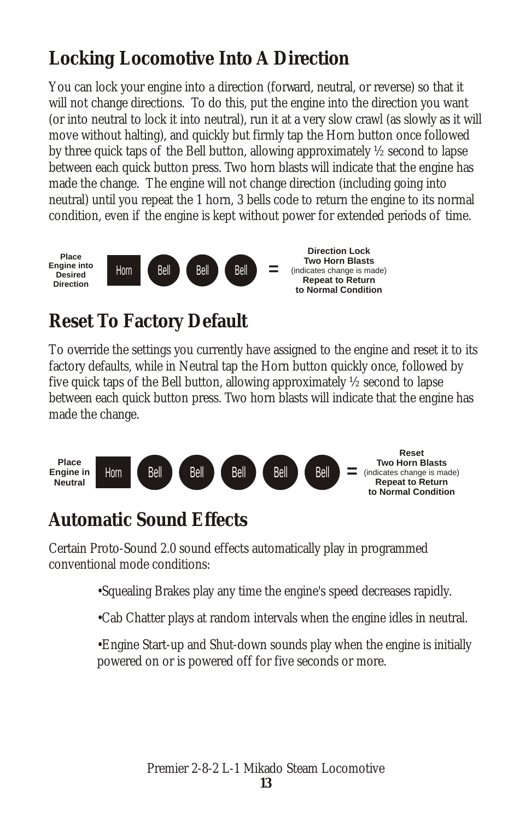## **Locking Locomotive Into A Direction**

You can lock your engine into a direction (forward, neutral, or reverse) so that it will not change directions. To do this, put the engine into the direction you want (or into neutral to lock it into neutral), run it at a very slow crawl (as slowly as it will move without halting), and quickly but firmly tap the Horn button once followed by three quick taps of the Bell button, allowing approximately ½ second to lapse between each quick button press. Two horn blasts will indicate that the engine has made the change. The engine will not change direction (including going into neutral) until you repeat the 1 horn, 3 bells code to return the engine to its normal condition, even if the engine is kept without power for extended periods of time.



## **Reset To Factory Default**

To override the settings you currently have assigned to the engine and reset it to its factory defaults, while in Neutral tap the Horn button quickly once, followed by five quick taps of the Bell button, allowing approximately ½ second to lapse between each quick button press. Two horn blasts will indicate that the engine has made the change.



## **Automatic Sound Effects**

Certain Proto-Sound 2.0 sound effects automatically play in programmed conventional mode conditions:

•Squealing Brakes play any time the engine's speed decreases rapidly.

•Cab Chatter plays at random intervals when the engine idles in neutral.

•Engine Start-up and Shut-down sounds play when the engine is initially powered on or is powered off for five seconds or more.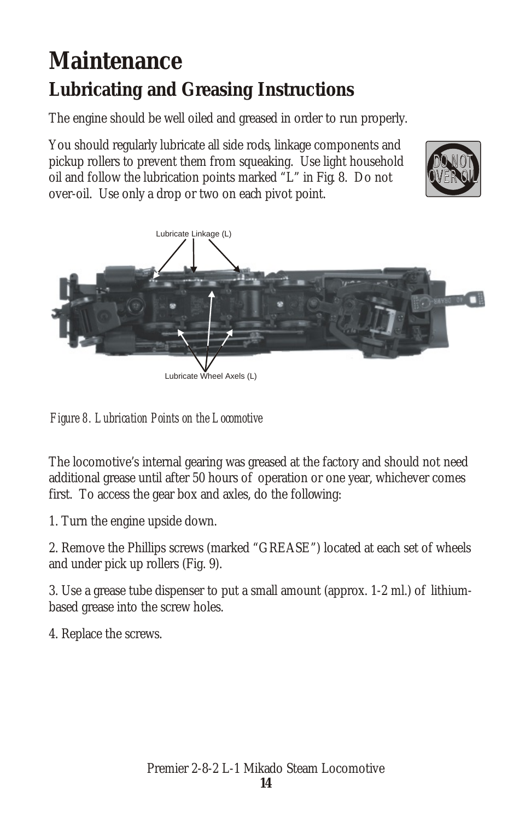## **Maintenance Lubricating and Greasing Instructions**

The engine should be well oiled and greased in order to run properly.

You should regularly lubricate all side rods, linkage components and pickup rollers to prevent them from squeaking. Use light household oil and follow the lubrication points marked "L" in Fig. 8. Do not over-oil. Use only a drop or two on each pivot point.





*Figure 8. Lubrication Points on the Locomotive*

The locomotive's internal gearing was greased at the factory and should not need additional grease until after 50 hours of operation or one year, whichever comes first. To access the gear box and axles, do the following:

1. Turn the engine upside down.

2. Remove the Phillips screws (marked "GREASE") located at each set of wheels and under pick up rollers (Fig. 9).

3. Use a grease tube dispenser to put a small amount (approx. 1-2 ml.) of lithiumbased grease into the screw holes.

4. Replace the screws.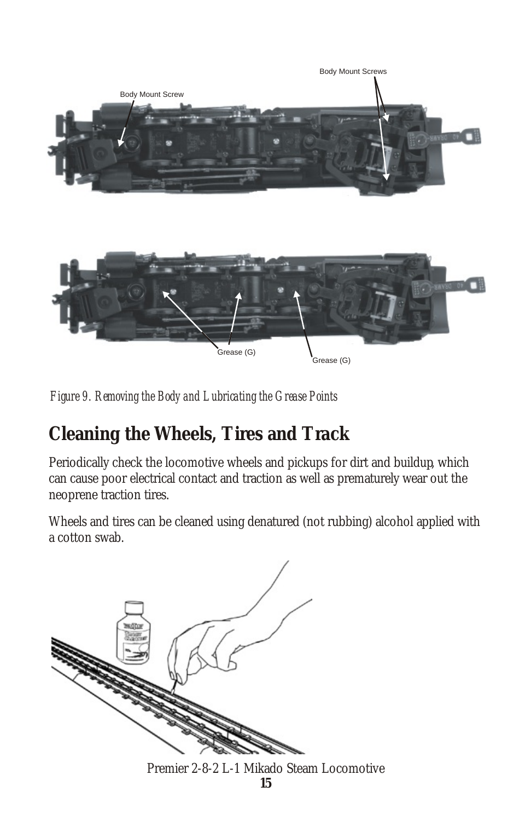

*Figure 9. Removing the Body and Lubricating the Grease Points*

## **Cleaning the Wheels, Tires and Track**

Periodically check the locomotive wheels and pickups for dirt and buildup, which can cause poor electrical contact and traction as well as prematurely wear out the neoprene traction tires.

Wheels and tires can be cleaned using denatured (not rubbing) alcohol applied with a cotton swab.



Premier 2-8-2 L-1 Mikado Steam Locomotive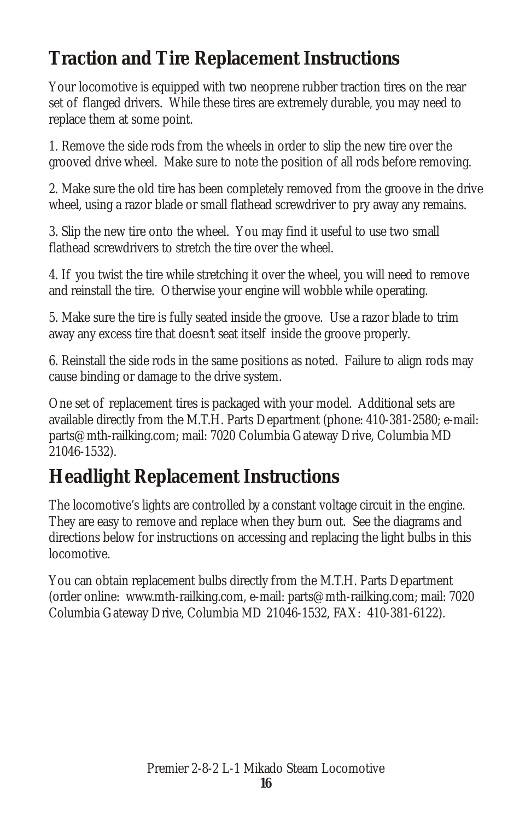## **Traction and Tire Replacement Instructions**

Your locomotive is equipped with two neoprene rubber traction tires on the rear set of flanged drivers. While these tires are extremely durable, you may need to replace them at some point.

1. Remove the side rods from the wheels in order to slip the new tire over the grooved drive wheel. Make sure to note the position of all rods before removing.

2. Make sure the old tire has been completely removed from the groove in the drive wheel, using a razor blade or small flathead screwdriver to pry away any remains.

3. Slip the new tire onto the wheel. You may find it useful to use two small flathead screwdrivers to stretch the tire over the wheel.

4. If you twist the tire while stretching it over the wheel, you will need to remove and reinstall the tire. Otherwise your engine will wobble while operating.

5. Make sure the tire is fully seated inside the groove. Use a razor blade to trim away any excess tire that doesn't seat itself inside the groove properly.

6. Reinstall the side rods in the same positions as noted. Failure to align rods may cause binding or damage to the drive system.

One set of replacement tires is packaged with your model. Additional sets are available directly from the M.T.H. Parts Department (phone: 410-381-2580; e-mail: parts@mth-railking.com; mail: 7020 Columbia Gateway Drive, Columbia MD 21046-1532).

## **Headlight Replacement Instructions**

The locomotive's lights are controlled by a constant voltage circuit in the engine. They are easy to remove and replace when they burn out. See the diagrams and directions below for instructions on accessing and replacing the light bulbs in this locomotive.

You can obtain replacement bulbs directly from the M.T.H. Parts Department (order online: www.mth-railking.com, e-mail: parts@mth-railking.com; mail: 7020 Columbia Gateway Drive, Columbia MD 21046-1532, FAX: 410-381-6122).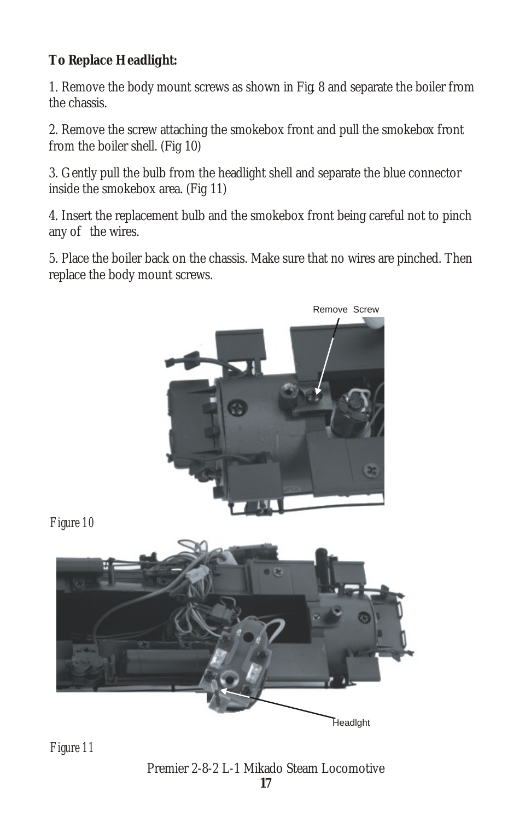**To Replace Headlight:**

1. Remove the body mount screws as shown in Fig. 8 and separate the boiler from the chassis.

2. Remove the screw attaching the smokebox front and pull the smokebox front from the boiler shell. (Fig 10)

3. Gently pull the bulb from the headlight shell and separate the blue connector inside the smokebox area. (Fig 11)

4. Insert the replacement bulb and the smokebox front being careful not to pinch any of the wires.

5. Place the boiler back on the chassis. Make sure that no wires are pinched. Then replace the body mount screws.



*Figure 11*

Premier 2-8-2 L-1 Mikado Steam Locomotive **17**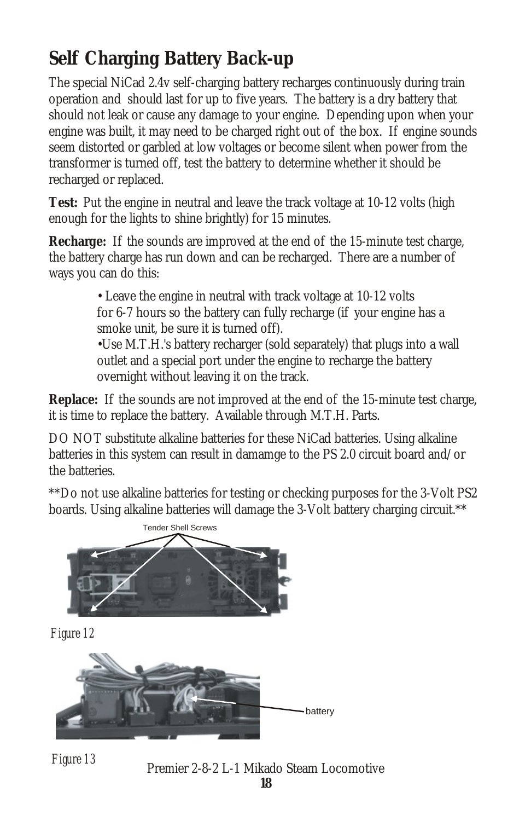## **Self Charging Battery Back-up**

The special NiCad 2.4v self-charging battery recharges continuously during train operation and should last for up to five years. The battery is a dry battery that should not leak or cause any damage to your engine. Depending upon when your engine was built, it may need to be charged right out of the box. If engine sounds seem distorted or garbled at low voltages or become silent when power from the transformer is turned off, test the battery to determine whether it should be recharged or replaced.

**Test:** Put the engine in neutral and leave the track voltage at 10-12 volts (high enough for the lights to shine brightly) for 15 minutes.

**Recharge:** If the sounds are improved at the end of the 15-minute test charge, the battery charge has run down and can be recharged. There are a number of ways you can do this:

> • Leave the engine in neutral with track voltage at 10-12 volts for 6-7 hours so the battery can fully recharge (if your engine has a smoke unit, be sure it is turned off).

•Use M.T.H.'s battery recharger (sold separately) that plugs into a wall outlet and a special port under the engine to recharge the battery overnight without leaving it on the track.

**Replace:** If the sounds are not improved at the end of the 15-minute test charge, it is time to replace the battery. Available through M.T.H. Parts.

DO NOT substitute alkaline batteries for these NiCad batteries. Using alkaline batteries in this system can result in damamge to the PS 2.0 circuit board and/or the batteries.

\*\*Do not use alkaline batteries for testing or checking purposes for the 3-Volt PS2 boards. Using alkaline batteries will damage the 3-Volt battery charging circuit.\*\*







*Figure 13*

Premier 2-8-2 L-1 Mikado Steam Locomotive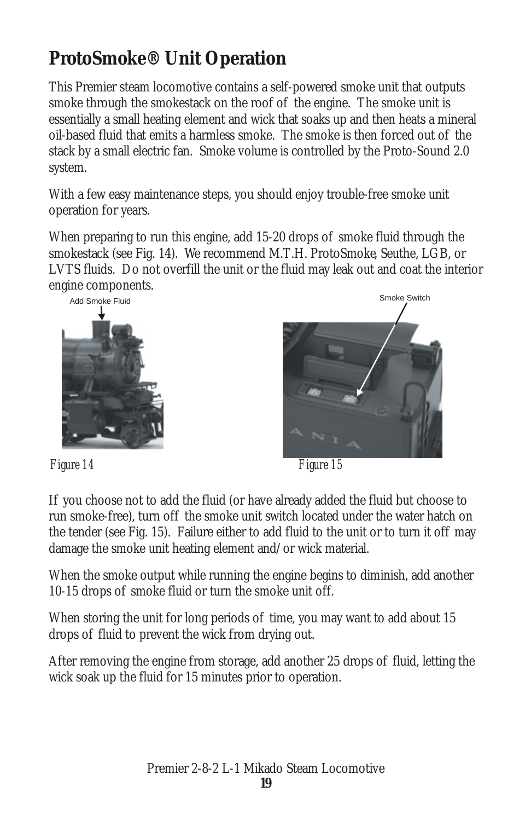## **ProtoSmoke® Unit Operation**

This Premier steam locomotive contains a self-powered smoke unit that outputs smoke through the smokestack on the roof of the engine. The smoke unit is essentially a small heating element and wick that soaks up and then heats a mineral oil-based fluid that emits a harmless smoke. The smoke is then forced out of the stack by a small electric fan. Smoke volume is controlled by the Proto-Sound 2.0 system.

With a few easy maintenance steps, you should enjoy trouble-free smoke unit operation for years.

When preparing to run this engine, add 15-20 drops of smoke fluid through the smokestack (see Fig. 14). We recommend M.T.H. ProtoSmoke, Seuthe, LGB, or LVTS fluids. Do not overfill the unit or the fluid may leak out and coat the interior engine components.





*Figure 14 Figure 15*

If you choose not to add the fluid (or have already added the fluid but choose to run smoke-free), turn off the smoke unit switch located under the water hatch on the tender (see Fig. 15). Failure either to add fluid to the unit or to turn it off may damage the smoke unit heating element and/or wick material.

When the smoke output while running the engine begins to diminish, add another 10-15 drops of smoke fluid or turn the smoke unit off.

When storing the unit for long periods of time, you may want to add about 15 drops of fluid to prevent the wick from drying out.

After removing the engine from storage, add another 25 drops of fluid, letting the wick soak up the fluid for 15 minutes prior to operation.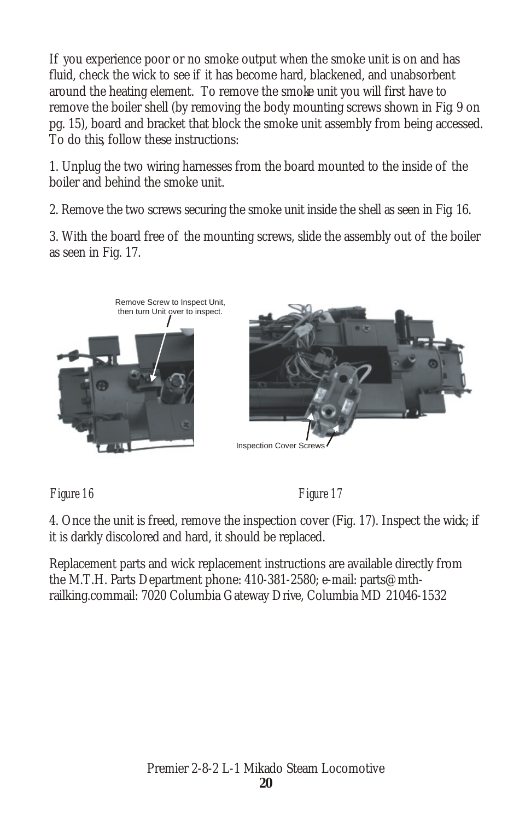If you experience poor or no smoke output when the smoke unit is on and has fluid, check the wick to see if it has become hard, blackened, and unabsorbent around the heating element. To remove the smoke unit you will first have to remove the boiler shell (by removing the body mounting screws shown in Fig. 9 on pg. 15), board and bracket that block the smoke unit assembly from being accessed. To do this, follow these instructions:

1. Unplug the two wiring harnesses from the board mounted to the inside of the boiler and behind the smoke unit.

2. Remove the two screws securing the smoke unit inside the shell as seen in Fig. 16.

3. With the board free of the mounting screws, slide the assembly out of the boiler as seen in Fig. 17.



*Figure 16 Figure 17*

4. Once the unit is freed, remove the inspection cover (Fig. 17). Inspect the wick; if it is darkly discolored and hard, it should be replaced.

Replacement parts and wick replacement instructions are available directly from the M.T.H. Parts Department phone: 410-381-2580; e-mail: parts@mthrailking.commail: 7020 Columbia Gateway Drive, Columbia MD 21046-1532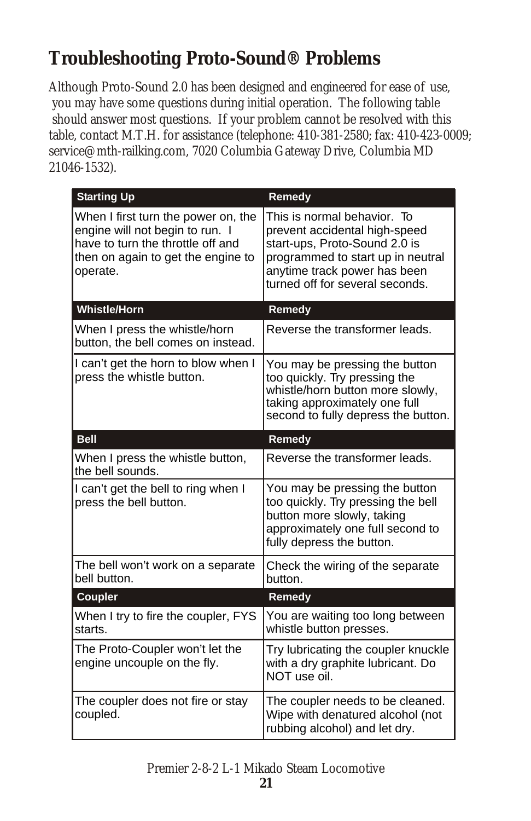## **Troubleshooting Proto-Sound® Problems**

Although Proto-Sound 2.0 has been designed and engineered for ease of use, you may have some questions during initial operation. The following table should answer most questions. If your problem cannot be resolved with this table, contact M.T.H. for assistance (telephone: 410-381-2580; fax: 410-423-0009; service@mth-railking.com, 7020 Columbia Gateway Drive, Columbia MD 21046-1532).

| <b>Starting Up</b>                                                                                                                                            | Remedy                                                                                                                                                                                                |
|---------------------------------------------------------------------------------------------------------------------------------------------------------------|-------------------------------------------------------------------------------------------------------------------------------------------------------------------------------------------------------|
| When I first turn the power on, the<br>engine will not begin to run. I<br>have to turn the throttle off and<br>then on again to get the engine to<br>operate. | This is normal behavior. To<br>prevent accidental high-speed<br>start-ups, Proto-Sound 2.0 is<br>programmed to start up in neutral<br>anytime track power has been<br>turned off for several seconds. |
| <b>Whistle/Horn</b>                                                                                                                                           | Remedy                                                                                                                                                                                                |
| When I press the whistle/horn<br>button, the bell comes on instead.                                                                                           | Reverse the transformer leads.                                                                                                                                                                        |
| I can't get the horn to blow when I<br>press the whistle button.                                                                                              | You may be pressing the button<br>too quickly. Try pressing the<br>whistle/horn button more slowly,<br>taking approximately one full<br>second to fully depress the button.                           |
| <b>Bell</b>                                                                                                                                                   | Remedy                                                                                                                                                                                                |
| When I press the whistle button,<br>the bell sounds.                                                                                                          | Reverse the transformer leads.                                                                                                                                                                        |
| I can't get the bell to ring when I<br>press the bell button.                                                                                                 | You may be pressing the button<br>too quickly. Try pressing the bell<br>button more slowly, taking<br>approximately one full second to<br>fully depress the button.                                   |
| The bell won't work on a separate<br>bell button.                                                                                                             | Check the wiring of the separate<br>button.                                                                                                                                                           |
| Coupler                                                                                                                                                       | Remedy                                                                                                                                                                                                |
| When I try to fire the coupler, FYS<br>starts.                                                                                                                | You are waiting too long between<br>whistle button presses.                                                                                                                                           |
| The Proto-Coupler won't let the<br>engine uncouple on the fly.                                                                                                | Try lubricating the coupler knuckle<br>with a dry graphite lubricant. Do<br>NOT use oil.                                                                                                              |
| The coupler does not fire or stay<br>coupled.                                                                                                                 | The coupler needs to be cleaned.<br>Wipe with denatured alcohol (not<br>rubbing alcohol) and let dry.                                                                                                 |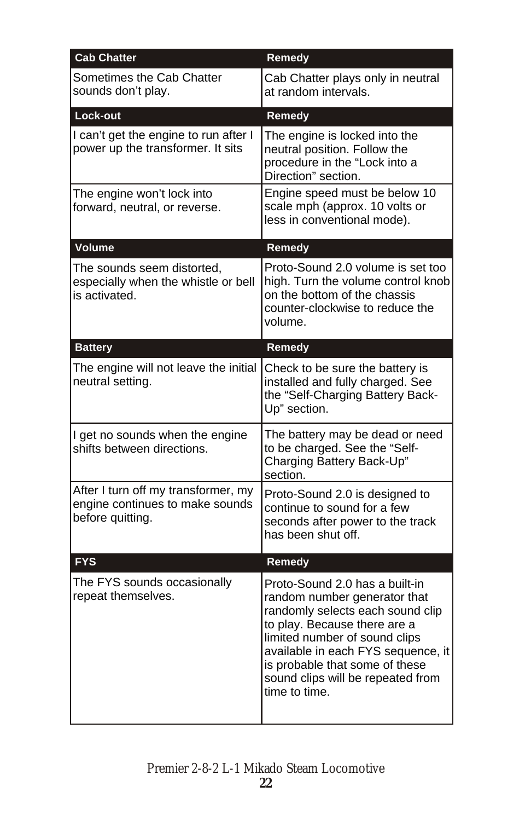| <b>Cab Chatter</b>                                                                         | <b>Remedy</b>                                                                                                                                                                                                                                                                                     |
|--------------------------------------------------------------------------------------------|---------------------------------------------------------------------------------------------------------------------------------------------------------------------------------------------------------------------------------------------------------------------------------------------------|
| Sometimes the Cab Chatter<br>sounds don't play.                                            | Cab Chatter plays only in neutral<br>at random intervals.                                                                                                                                                                                                                                         |
| Lock-out                                                                                   | Remedy                                                                                                                                                                                                                                                                                            |
| I can't get the engine to run after I<br>power up the transformer. It sits                 | The engine is locked into the<br>neutral position. Follow the<br>procedure in the "Lock into a<br>Direction" section.                                                                                                                                                                             |
| The engine won't lock into<br>forward, neutral, or reverse.                                | Engine speed must be below 10<br>scale mph (approx. 10 volts or<br>less in conventional mode).                                                                                                                                                                                                    |
| Volume                                                                                     | Remedy                                                                                                                                                                                                                                                                                            |
| The sounds seem distorted,<br>especially when the whistle or bell<br>is activated.         | Proto-Sound 2.0 volume is set too<br>high. Turn the volume control knob<br>on the bottom of the chassis<br>counter-clockwise to reduce the<br>volume.                                                                                                                                             |
| <b>Battery</b>                                                                             | Remedy                                                                                                                                                                                                                                                                                            |
| The engine will not leave the initial<br>neutral setting.                                  | Check to be sure the battery is<br>installed and fully charged. See<br>the "Self-Charging Battery Back-<br>Up" section.                                                                                                                                                                           |
| I get no sounds when the engine<br>shifts between directions.                              | The battery may be dead or need<br>to be charged. See the "Self-<br>Charging Battery Back-Up"<br>section.                                                                                                                                                                                         |
| After I turn off my transformer, my<br>engine continues to make sounds<br>before quitting. | Proto-Sound 2.0 is designed to<br>continue to sound for a few<br>seconds after power to the track<br>has been shut off.                                                                                                                                                                           |
| <b>FYS</b>                                                                                 | Remedy                                                                                                                                                                                                                                                                                            |
| The FYS sounds occasionally<br>repeat themselves.                                          | Proto-Sound 2.0 has a built-in<br>random number generator that<br>randomly selects each sound clip<br>to play. Because there are a<br>limited number of sound clips<br>available in each FYS sequence, it<br>is probable that some of these<br>sound clips will be repeated from<br>time to time. |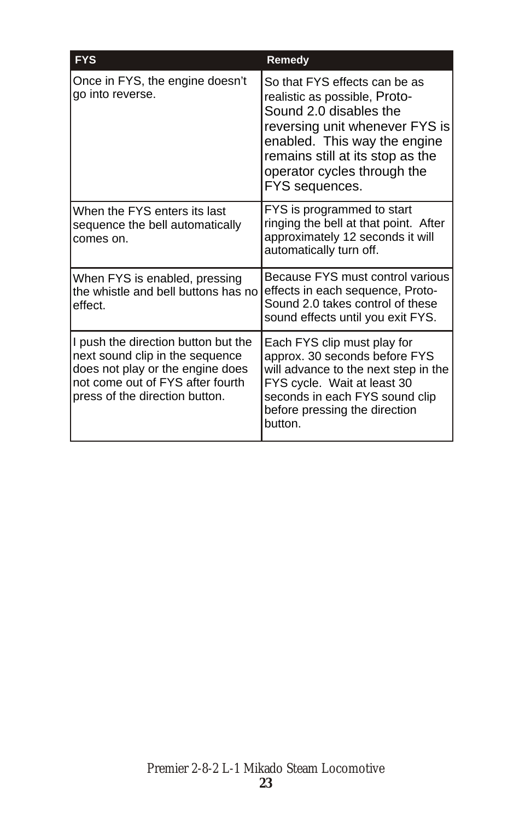| <b>FYS</b>                                                                                                                                                                        | Remedy                                                                                                                                                                                                                                          |
|-----------------------------------------------------------------------------------------------------------------------------------------------------------------------------------|-------------------------------------------------------------------------------------------------------------------------------------------------------------------------------------------------------------------------------------------------|
| Once in FYS, the engine doesn't<br>go into reverse.                                                                                                                               | So that FYS effects can be as<br>realistic as possible, Proto-<br>Sound 2.0 disables the<br>reversing unit whenever FYS is<br>enabled. This way the engine<br>remains still at its stop as the<br>operator cycles through the<br>FYS sequences. |
| When the FYS enters its last<br>sequence the bell automatically<br>comes on.                                                                                                      | FYS is programmed to start<br>ringing the bell at that point. After<br>approximately 12 seconds it will<br>automatically turn off.                                                                                                              |
| When FYS is enabled, pressing<br>the whistle and bell buttons has no<br>effect.                                                                                                   | Because FYS must control various<br>effects in each sequence, Proto-<br>Sound 2.0 takes control of these<br>sound effects until you exit FYS.                                                                                                   |
| II push the direction button but the<br>next sound clip in the sequence<br>does not play or the engine does<br>not come out of FYS after fourth<br>press of the direction button. | Each FYS clip must play for<br>approx. 30 seconds before FYS<br>will advance to the next step in the<br>FYS cycle. Wait at least 30<br>seconds in each FYS sound clip<br>before pressing the direction<br>button.                               |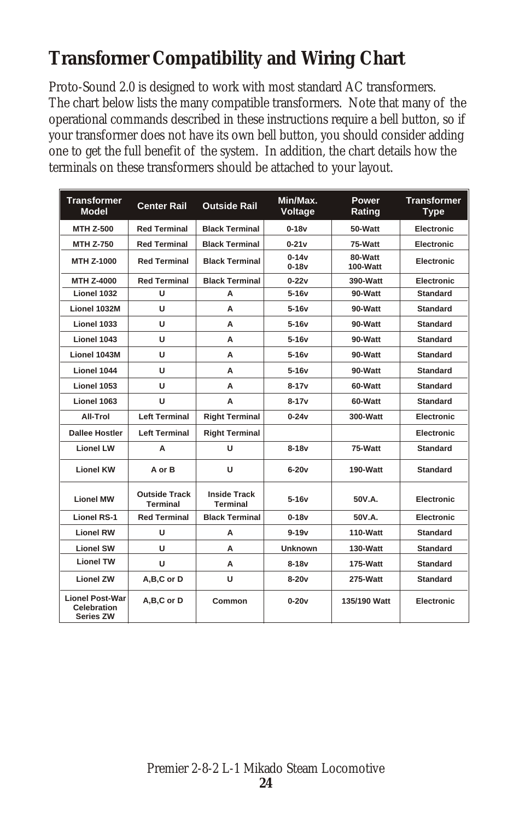## **Transformer Compatibility and Wiring Chart**

Proto-Sound 2.0 is designed to work with most standard AC transformers. The chart below lists the many compatible transformers. Note that many of the operational commands described in these instructions require a bell button, so if your transformer does not have its own bell button, you should consider adding one to get the full benefit of the system. In addition, the chart details how the terminals on these transformers should be attached to your layout.

| <b>Transformer</b><br><b>Model</b>                 | <b>Center Rail</b>                      | <b>Outside Rail</b>                    | Min/Max.<br>Voltage  | Power<br>Rating     | <b>Transformer</b><br><b>Type</b> |
|----------------------------------------------------|-----------------------------------------|----------------------------------------|----------------------|---------------------|-----------------------------------|
| <b>MTH Z-500</b>                                   | <b>Red Terminal</b>                     | <b>Black Terminal</b>                  | $0 - 18v$            | 50-Watt             | <b>Electronic</b>                 |
| <b>MTH Z-750</b>                                   | <b>Red Terminal</b>                     | <b>Black Terminal</b>                  | $0-21v$              | 75-Watt             | Electronic                        |
| MTH Z-1000                                         | <b>Red Terminal</b>                     | <b>Black Terminal</b>                  | $0 - 14v$<br>$0-18v$ | 80-Watt<br>100-Watt | Electronic                        |
| MTH Z-4000                                         | <b>Red Terminal</b>                     | <b>Black Terminal</b>                  | $0 - 22v$            | 390-Watt            | Electronic                        |
| Lionel 1032                                        | U                                       | A                                      | $5-16v$              | 90-Watt             | <b>Standard</b>                   |
| Lionel 1032M                                       | U                                       | A                                      | $5-16v$              | 90-Watt             | <b>Standard</b>                   |
| Lionel 1033                                        | U                                       | А                                      | 5-16v                | 90-Watt             | <b>Standard</b>                   |
| Lionel 1043                                        | U                                       | A                                      | $5-16v$              | 90-Watt             | <b>Standard</b>                   |
| Lionel 1043M                                       | U                                       | A                                      | $5-16v$              | 90-Watt             | <b>Standard</b>                   |
| Lionel 1044                                        | U                                       | А                                      | $5-16v$              | 90-Watt             | <b>Standard</b>                   |
| Lionel 1053                                        | U                                       | А                                      | $8 - 17v$            | 60-Watt             | <b>Standard</b>                   |
| Lionel 1063                                        | U                                       | A                                      | 8-17v                | 60-Watt             | <b>Standard</b>                   |
| All-Trol                                           | <b>Left Terminal</b>                    | <b>Right Terminal</b>                  | $0 - 24v$            | 300-Watt            | Electronic                        |
| <b>Dallee Hostler</b>                              | <b>Left Terminal</b>                    | <b>Right Terminal</b>                  |                      |                     | Electronic                        |
| <b>Lionel LW</b>                                   | A                                       | U                                      | $8-18v$              | 75-Watt             | <b>Standard</b>                   |
| <b>Lionel KW</b>                                   | A or B                                  | U                                      | $6-20v$              | 190-Watt            | <b>Standard</b>                   |
| <b>Lionel MW</b>                                   | <b>Outside Track</b><br><b>Terminal</b> | <b>Inside Track</b><br><b>Terminal</b> | $5-16v$              | 50V.A.              | <b>Electronic</b>                 |
| <b>Lionel RS-1</b>                                 | <b>Red Terminal</b>                     | <b>Black Terminal</b>                  | $0-18v$              | 50V.A.              | Electronic                        |
| <b>Lionel RW</b>                                   | U                                       | A                                      | $9 - 19v$            | 110-Watt            | <b>Standard</b>                   |
| <b>Lionel SW</b>                                   | U                                       | А                                      | <b>Unknown</b>       | 130-Watt            | <b>Standard</b>                   |
| <b>Lionel TW</b>                                   | U                                       | A                                      | $8-18v$              | 175-Watt            | <b>Standard</b>                   |
| <b>Lionel ZW</b>                                   | A,B,C or D                              | U                                      | $8-20v$              | 275-Watt            | <b>Standard</b>                   |
| <b>Lionel Post-War</b><br>Celebration<br>Series ZW | A,B,C or D                              | Common                                 | $0-20v$              | 135/190 Watt        | Electronic                        |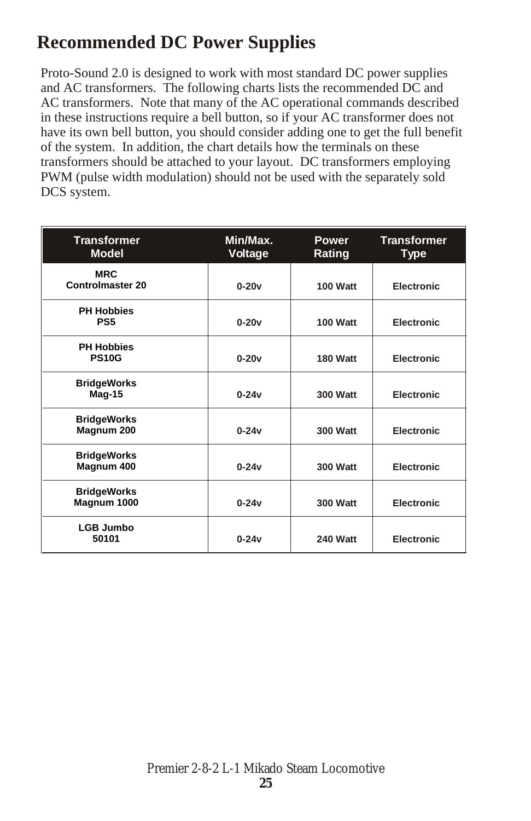### **Recommended DC Power Supplies**

Proto-Sound 2.0 is designed to work with most standard DC power supplies and AC transformers. The following charts lists the recommended DC and AC transformers. Note that many of the AC operational commands described in these instructions require a bell button, so if your AC transformer does not have its own bell button, you should consider adding one to get the full benefit of the system. In addition, the chart details how the terminals on these transformers should be attached to your layout. DC transformers employing PWM (pulse width modulation) should not be used with the separately sold DCS system.

| <b>Transformer</b><br><b>Model</b>    | Min/Max.<br>Voltage | <b>Power</b><br>Rating | <b>Transformer</b><br><b>Type</b> |
|---------------------------------------|---------------------|------------------------|-----------------------------------|
| <b>MRC</b><br><b>Controlmaster 20</b> | $0-20v$             | 100 Watt               | <b>Electronic</b>                 |
| <b>PH Hobbies</b><br>PS <sub>5</sub>  | $0-20v$             | 100 Watt               | <b>Electronic</b>                 |
| <b>PH Hobbies</b><br><b>PS10G</b>     | $0-20v$             | 180 Watt               | <b>Electronic</b>                 |
| <b>BridgeWorks</b><br>Mag-15          | $0 - 24v$           | <b>300 Watt</b>        | <b>Electronic</b>                 |
| <b>BridgeWorks</b><br>Magnum 200      | $0 - 24v$           | <b>300 Watt</b>        | Electronic                        |
| <b>BridgeWorks</b><br>Magnum 400      | $0 - 24v$           | <b>300 Watt</b>        | <b>Electronic</b>                 |
| <b>BridgeWorks</b><br>Magnum 1000     | $0-24v$             | <b>300 Watt</b>        | <b>Electronic</b>                 |
| <b>LGB Jumbo</b><br>50101             | $0 - 24v$           | <b>240 Watt</b>        | <b>Electronic</b>                 |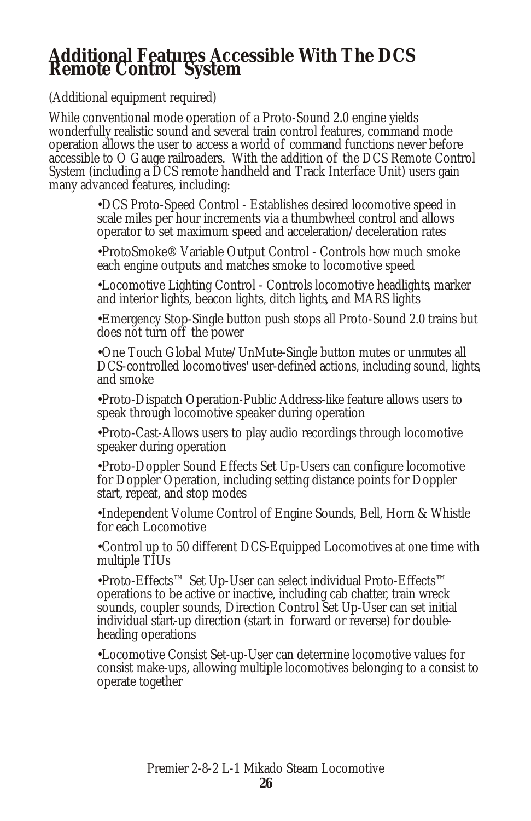## **Additional Features Accessible With The DCS Remote Control System**

(Additional equipment required)

While conventional mode operation of a Proto-Sound 2.0 engine yields wonderfully realistic sound and several train control features, command mode operation allows the user to access a world of command functions never before accessible to O Gauge railroaders. With the addition of the DCS Remote Control System (including a DCS remote handheld and Track Interface Unit) users gain many advanced features, including:

> •DCS Proto-Speed Control - Establishes desired locomotive speed in scale miles per hour increments via a thumbwheel control and allows operator to set maximum speed and acceleration/deceleration rates

> •ProtoSmoke® Variable Output Control - Controls how much smoke each engine outputs and matches smoke to locomotive speed

•Locomotive Lighting Control - Controls locomotive headlights, marker and interior lights, beacon lights, ditch lights, and MARS lights

•Emergency Stop-Single button push stops all Proto-Sound 2.0 trains but does not turn off the power

•One Touch Global Mute/UnMute-Single button mutes or unmutes all DCS-controlled locomotives' user-defined actions, including sound, lights, and smoke

•Proto-Dispatch Operation-Public Address-like feature allows users to speak through locomotive speaker during operation

•Proto-Cast-Allows users to play audio recordings through locomotive speaker during operation

•Proto-Doppler Sound Effects Set Up-Users can configure locomotive for Doppler Operation, including setting distance points for Doppler start, repeat, and stop modes

•Independent Volume Control of Engine Sounds, Bell, Horn & Whistle for each Locomotive

•Control up to 50 different DCS-Equipped Locomotives at one time with multiple TIUs

•Proto-Effects™ Set Up-User can select individual Proto-Effects™ operations to be active or inactive, including cab chatter, train wreck sounds, coupler sounds, Direction Control Set Up-User can set initial individual start-up direction (start in forward or reverse) for doubleheading operations

•Locomotive Consist Set-up-User can determine locomotive values for consist make-ups, allowing multiple locomotives belonging to a consist to operate together